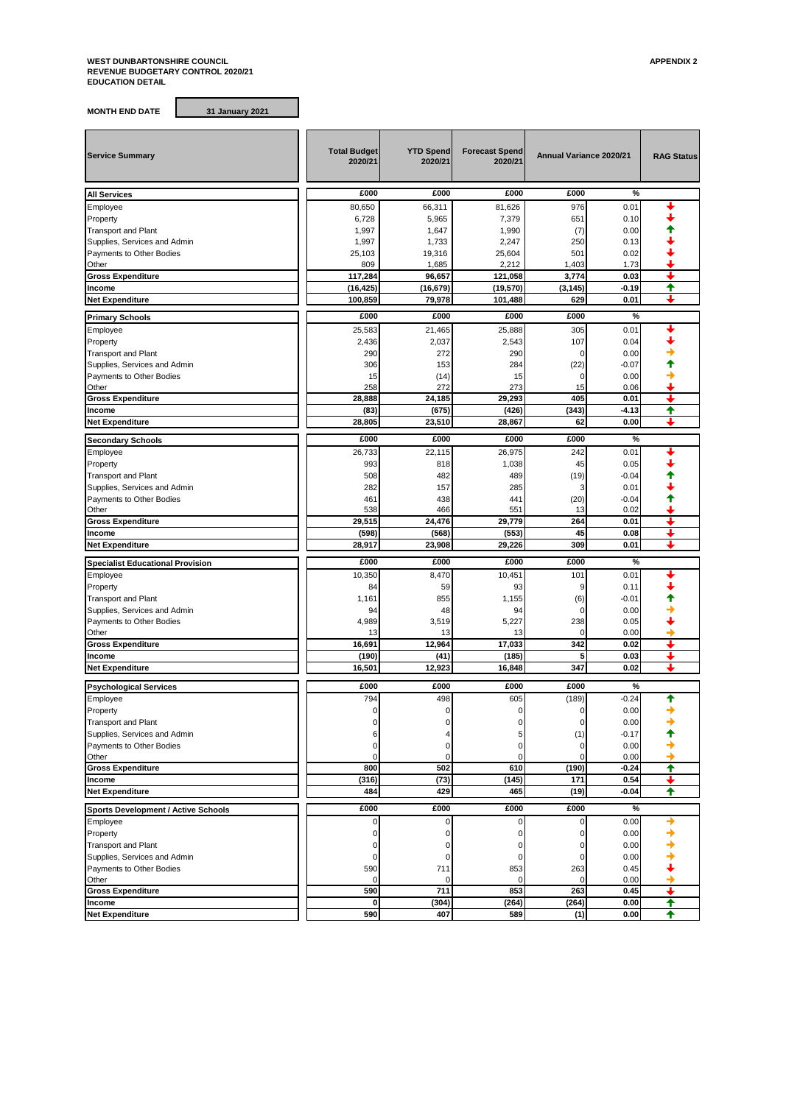## **WEST DUNBARTONSHIRE COUNCIL APPENDIX 2 REVENUE BUDGETARY CONTROL 2020/21 EDUCATION DETAIL**

**MONTH END DATE 31 January 2021**

| <b>Service Summary</b>                     | <b>Total Budget</b><br>2020/21 | <b>YTD Spend</b><br>2020/21 | <b>Forecast Spend</b><br>2020/21 | Annual Variance 2020/21 |               | <b>RAG Status</b> |
|--------------------------------------------|--------------------------------|-----------------------------|----------------------------------|-------------------------|---------------|-------------------|
| <b>All Services</b>                        | £000                           | £000                        | £000                             | £000                    | $\frac{9}{6}$ |                   |
| Employee                                   | 80,650                         | 66,311                      | 81,626                           | 976                     | 0.01          |                   |
| Property                                   | 6,728                          | 5,965                       | 7,379                            | 651                     | 0.10          |                   |
| <b>Transport and Plant</b>                 | 1,997                          | 1,647                       | 1,990                            | (7)                     | 0.00          |                   |
| Supplies, Services and Admin               | 1,997                          | 1,733                       | 2,247                            | 250                     | 0.13          |                   |
| Payments to Other Bodies                   | 25,103                         | 19,316                      | 25,604                           | 501                     | 0.02          |                   |
| Other                                      | 809                            | 1,685                       | 2,212                            | 1,403                   | 1.73          |                   |
| <b>Gross Expenditure</b>                   | 117,284                        | 96,657                      | 121,058                          | 3,774                   | 0.03          |                   |
| Income                                     | (16, 425)                      | (16, 679)                   | (19, 570)                        | (3, 145)                | $-0.19$       | ♠                 |
| <b>Net Expenditure</b>                     | 100,859                        | 79,978                      | 101,488                          | 629                     | 0.01          |                   |
| <b>Primary Schools</b>                     | £000                           | £000                        | £000                             | £000                    | %             |                   |
| Employee                                   | 25,583                         | 21,465                      | 25,888                           | 305                     | 0.01          |                   |
| Property                                   | 2,436                          | 2,037                       | 2,543                            | 107                     | 0.04          |                   |
| <b>Transport and Plant</b>                 | 290                            | 272                         | 290                              | 0                       | 0.00          |                   |
| Supplies, Services and Admin               | 306                            | 153                         | 284                              | (22)                    | $-0.07$       |                   |
| Payments to Other Bodies                   | 15                             | (14)                        | 15                               | 0                       | 0.00          |                   |
| Other                                      | 258                            | 272                         | 273                              | 15                      | 0.06          |                   |
| <b>Gross Expenditure</b>                   | 28,888                         | 24,185                      | 29,293                           | 405                     | 0.01          | ┹                 |
| Income                                     | (83)                           | (675)                       | (426)                            | (343)                   | -4.13         | ♠                 |
| <b>Net Expenditure</b>                     | 28,805                         | 23,510                      | 28,867                           | 62                      | 0.00          | ı                 |
| <b>Secondary Schools</b>                   | £000                           | £000                        | £000                             | £000                    | %             |                   |
| Employee                                   | 26,733                         | 22,115                      | 26.975                           | 242                     | 0.01          |                   |
| Property                                   | 993                            | 818                         | 1,038                            | 45                      | 0.05          |                   |
| <b>Transport and Plant</b>                 | 508                            | 482                         | 489                              | (19)                    | $-0.04$       |                   |
| Supplies, Services and Admin               | 282                            | 157                         | 285                              | 3                       | 0.01          |                   |
| Payments to Other Bodies                   | 461                            | 438                         | 441                              | (20)                    | $-0.04$       |                   |
| Other                                      | 538                            | 466                         | 551                              | 13                      | 0.02          |                   |
| <b>Gross Expenditure</b>                   | 29,515                         | 24,476                      | 29,779                           | 264                     | 0.01          |                   |
| Income                                     | (598)                          | (568)                       | (553)                            | 45                      | 0.08          |                   |
| <b>Net Expenditure</b>                     | 28,917                         | 23,908                      | 29,226                           | 309                     | 0.01          |                   |
| <b>Specialist Educational Provision</b>    | £000                           | £000                        | £000                             | £000                    | %             |                   |
| Employee                                   | 10,350                         | 8,470                       | 10,451                           | 101                     | 0.01          |                   |
| Property                                   | 84                             | 59                          | 93                               | 9                       | 0.11          |                   |
| <b>Transport and Plant</b>                 | 1,161                          | 855                         | 1,155                            | (6)                     | $-0.01$       |                   |
| Supplies, Services and Admin               | 94                             | 48                          | 94                               | $\mathbf 0$             | 0.00          |                   |
| Payments to Other Bodies                   | 4,989                          | 3,519                       | 5,227                            | 238                     | 0.05          |                   |
| Other                                      | 13                             | 13                          | 13                               | $\mathbf 0$             | 0.00          |                   |
| <b>Gross Expenditure</b>                   | 16,691                         | 12.964                      | 17,033                           | 342                     | 0.02          |                   |
| Income                                     | (190)                          | (41)                        | (185)                            | 5                       | 0.03          | J                 |
| <b>Net Expenditure</b>                     | 16,501                         | 12,923                      | 16,848                           | 347                     | 0.02          |                   |
| <b>Psychological Services</b>              | £000                           | £000                        | £000                             | £000                    | %             |                   |
| Employee                                   | 794                            | 498                         | 605                              | (189)                   | $-0.24$       | ♠                 |
| Property                                   |                                |                             |                                  |                         | 0.00          |                   |
| <b>Transport and Plant</b>                 |                                |                             | 0                                | $\mathbf 0$             | 0.00          |                   |
| Supplies, Services and Admin               |                                |                             | 5                                | (1)                     | $-0.17$       |                   |
| Payments to Other Bodies                   | O                              | $\mathbf 0$                 | 0                                | 0                       | 0.00          |                   |
| Other                                      | 0                              | $\mathbf 0$                 | 0                                | $\mathbf 0$             | 0.00          |                   |
| <b>Gross Expenditure</b>                   | 800                            | 502                         | 610                              | (190)                   | $-0.24$       | ✦                 |
| Income                                     | (316)                          | (73)                        | (145)                            | 171                     | 0.54          | ┺                 |
| Net Expenditure                            | 484                            | 429                         | 465                              | (19)                    | $-0.04$       | ♠                 |
| <b>Sports Development / Active Schools</b> | £000                           | £000                        | £000                             | £000                    | %             |                   |
| Employee                                   | 0                              | 0                           | 0                                | $\mathbf 0$             | 0.00          |                   |
| Property                                   | $\Omega$                       | $\Omega$                    | $\Omega$                         | 0                       | 0.00          |                   |
| <b>Transport and Plant</b>                 | O                              | 0                           | 0                                | 0                       | 0.00          |                   |
| Supplies, Services and Admin               | 0                              | $\mathbf 0$                 | $\mathbf 0$                      | 0                       | 0.00          |                   |
| Payments to Other Bodies                   | 590                            | 711                         | 853                              | 263                     | 0.45          |                   |
| Other                                      | $\mathbf 0$                    | 0                           | $\mathbf 0$                      | $\mathbf 0$             | 0.00          |                   |
| <b>Gross Expenditure</b>                   | 590                            | 711                         | 853                              | 263                     | 0.45          | +                 |
| Income                                     | $\mathbf 0$                    | (304)                       | (264)                            | (264)                   | 0.00          | ✦                 |
| <b>Net Expenditure</b>                     | 590                            | 407                         | 589                              | (1)                     | 0.00          | ♠                 |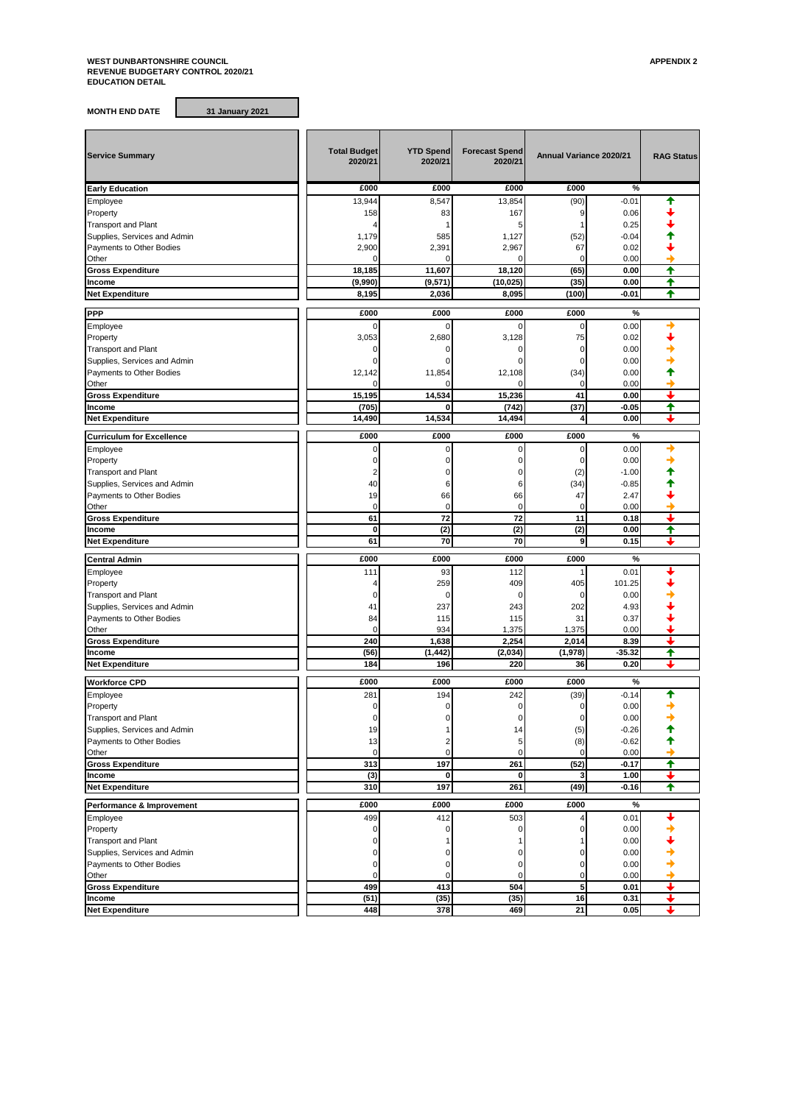## **WEST DUNBARTONSHIRE COUNCIL APPENDIX 2 REVENUE BUDGETARY CONTROL 2020/21 EDUCATION DETAIL**

**MONTH END DATE 31 January 2021**

| <b>Service Summary</b>                                   | <b>Total Budget</b><br>2020/21 | <b>YTD Spend</b><br>2020/21 | <b>Forecast Spend</b><br>2020/21 | Annual Variance 2020/21 |               | <b>RAG Status</b> |
|----------------------------------------------------------|--------------------------------|-----------------------------|----------------------------------|-------------------------|---------------|-------------------|
| <b>Early Education</b>                                   | £000                           | £000                        | £000                             | £000                    | %             |                   |
| Employee                                                 | 13,944                         | 8,547                       | 13,854                           | (90)                    | $-0.01$       |                   |
| Property                                                 | 158                            | 83                          | 167                              | 9                       | 0.06          |                   |
| <b>Transport and Plant</b>                               | 4                              |                             | 5                                | 1                       | 0.25          |                   |
| Supplies, Services and Admin                             | 1,179                          | 585                         | 1,127                            | (52)                    | $-0.04$       |                   |
| Payments to Other Bodies                                 | 2,900                          | 2,391                       | 2,967                            | 67                      | 0.02          |                   |
| Other                                                    | 0                              | $\mathbf 0$                 | ŋ                                | 0                       | 0.00          |                   |
| <b>Gross Expenditure</b>                                 | 18,185                         | 11,607                      | 18,120                           | (65)                    | 0.00          | ♠                 |
| Income                                                   | (9,990)                        | (9, 571)                    | (10, 025)                        | (35)                    | 0.00          | ✦                 |
| <b>Net Expenditure</b>                                   | 8,195                          | 2,036                       | 8,095                            | (100)                   | -0.01         | ♠                 |
| <b>PPP</b>                                               | £000                           | £000                        | £000                             | £000                    | %             |                   |
|                                                          |                                | $\Omega$                    |                                  | $\mathbf 0$             |               |                   |
| Employee                                                 | 0                              |                             | 0                                |                         | 0.00          |                   |
| Property                                                 | 3,053                          | 2,680                       | 3,128                            | 75                      | 0.02          |                   |
| <b>Transport and Plant</b>                               | $\Omega$<br>$\Omega$           | $\Omega$                    | 0<br>O                           | 0                       | 0.00          |                   |
| Supplies, Services and Admin                             |                                |                             |                                  | 0                       | 0.00          |                   |
| Payments to Other Bodies                                 | 12,142                         | 11,854                      | 12,108                           | (34)                    | 0.00          |                   |
| Other                                                    | $\Omega$<br>15,195             | $\Omega$<br>14,534          | O<br>15,236                      | $\mathbf 0$<br>41       | 0.00          | ı                 |
| <b>Gross Expenditure</b>                                 | (705)                          | $\mathbf 0$                 | (742)                            |                         | 0.00          | ✦                 |
| Income<br><b>Net Expenditure</b>                         | 14,490                         | 14,534                      | 14,494                           | (37)<br>4               | -0.05<br>0.00 | L                 |
|                                                          |                                |                             |                                  |                         |               |                   |
| <b>Curriculum for Excellence</b>                         | £000                           | £000                        | £000                             | £000                    | %             |                   |
| Employee                                                 | $\mathbf 0$                    | $\mathbf 0$                 | 0                                | $\mathbf 0$             | 0.00          |                   |
| Property                                                 | $\mathbf 0$                    | $\Omega$                    | 0                                | 0                       | 0.00          |                   |
| <b>Transport and Plant</b>                               | 2                              | $\mathbf 0$                 | 0                                | (2)                     | $-1.00$       |                   |
| Supplies, Services and Admin                             | 40                             | 6                           | 6                                | (34)                    | $-0.85$       |                   |
| Payments to Other Bodies                                 | 19                             | 66                          | 66                               | 47                      | 2.47          |                   |
| Other                                                    | $\mathbf 0$                    | $\mathbf 0$                 | $\mathbf 0$                      | $\mathbf 0$             | 0.00          |                   |
| <b>Gross Expenditure</b>                                 | 61                             | 72                          | 72                               | 11                      | 0.18          |                   |
| Income                                                   | 0                              | (2)                         | (2)                              | (2)                     | 0.00          | ✦                 |
| <b>Net Expenditure</b>                                   | 61                             | 70                          | 70                               | 9                       | 0.15          |                   |
| <b>Central Admin</b>                                     | £000                           | £000                        | £000                             | £000                    | %             |                   |
| Employee                                                 | 111                            | 93                          | 112                              | 1                       | 0.01          |                   |
| Property                                                 | 4                              | 259                         | 409                              | 405                     | 101.25        |                   |
| <b>Transport and Plant</b>                               | 0                              | $\mathbf 0$                 | 0                                | $\mathbf 0$             | 0.00          |                   |
| Supplies, Services and Admin                             | 41                             | 237                         | 243                              | 202                     | 4.93          |                   |
| Payments to Other Bodies                                 | 84                             | 115                         | 115                              | 31                      | 0.37          |                   |
| Other                                                    | $\mathbf 0$                    | 934                         | 1,375                            | 1,375                   | 0.00          |                   |
| <b>Gross Expenditure</b>                                 | 240                            | 1,638                       | 2,254                            | 2,014                   | 8.39          | ┹                 |
| Income                                                   | (56)                           | (1, 442)                    | (2,034)                          | (1,978)                 | $-35.32$      | ✦                 |
| <b>Net Expenditure</b>                                   | 184                            | 196                         | 220                              | 36                      | 0.20          | ┸                 |
|                                                          |                                |                             |                                  |                         |               |                   |
| <b>Workforce CPD</b>                                     | £000                           | £000                        | £000                             | £000                    | %             |                   |
| Employee                                                 | 281                            | 194                         | 242                              | (39)                    | $-0.14$       | ↑                 |
| Property                                                 | $\mathbf 0$                    | $\mathbf 0$                 | 0                                | 0                       | 0.00          |                   |
| <b>Transport and Plant</b>                               | 0                              |                             | 0                                | 0                       | 0.00          |                   |
| Supplies, Services and Admin                             | 19                             |                             | 14                               | (5)                     | $-0.26$       |                   |
| Payments to Other Bodies                                 | 13                             | $\overline{2}$              | 5                                | (8)                     | $-0.62$       |                   |
| Other                                                    | $\mathbf 0$                    | $\mathbf 0$                 | 0                                |                         | 0.00          | →                 |
| <b>Gross Expenditure</b>                                 | 313                            | 197                         | 261                              | (52)                    | $-0.17$       | $\blacklozenge$   |
| Income                                                   | (3)                            | $\bf{0}$                    | 0                                | 3                       | 1.00          | ┹                 |
| <b>Net Expenditure</b>                                   |                                |                             |                                  |                         |               | ✦                 |
|                                                          | 310                            | 197                         | 261                              | (49)                    | $-0.16$       |                   |
| Performance & Improvement                                | £000                           | £000                        | £000                             | £000                    | $\%$          |                   |
| Employee                                                 | 499                            | 412                         | 503                              | 4                       | 0.01          |                   |
|                                                          | 0                              | $\mathbf 0$                 | 0                                | 0                       |               |                   |
| Property<br><b>Transport and Plant</b>                   | 0                              |                             |                                  |                         | 0.00<br>0.00  |                   |
|                                                          | 0                              | 0                           | 0                                | 0                       | 0.00          |                   |
| Supplies, Services and Admin<br>Payments to Other Bodies | 0                              | $\mathbf 0$                 | 0                                | 0                       | 0.00          |                   |
| Other                                                    | $\mathbf 0$                    | $\mathbf 0$                 | 0                                | 0                       | 0.00          |                   |
| <b>Gross Expenditure</b>                                 | 499                            | 413                         | 504                              | 5                       | 0.01          | +                 |
| Income                                                   | (51)                           | (35)                        | (35)                             | 16                      | 0.31          |                   |